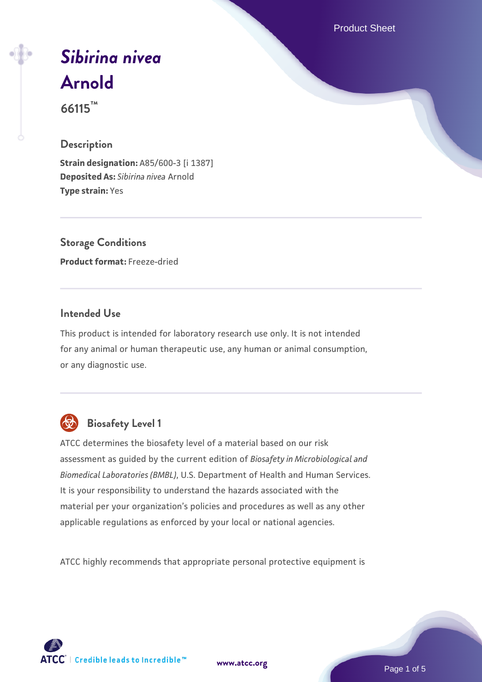Product Sheet

# *[Sibirina nivea](https://www.atcc.org/products/66115)* **[Arnold](https://www.atcc.org/products/66115)**

**66115™**

## **Description**

**Strain designation:** A85/600-3 [i 1387] **Deposited As:** *Sibirina nivea* Arnold **Type strain:** Yes

**Storage Conditions Product format:** Freeze-dried

## **Intended Use**

This product is intended for laboratory research use only. It is not intended for any animal or human therapeutic use, any human or animal consumption, or any diagnostic use.



# **Biosafety Level 1**

ATCC determines the biosafety level of a material based on our risk assessment as guided by the current edition of *Biosafety in Microbiological and Biomedical Laboratories (BMBL)*, U.S. Department of Health and Human Services. It is your responsibility to understand the hazards associated with the material per your organization's policies and procedures as well as any other applicable regulations as enforced by your local or national agencies.

ATCC highly recommends that appropriate personal protective equipment is

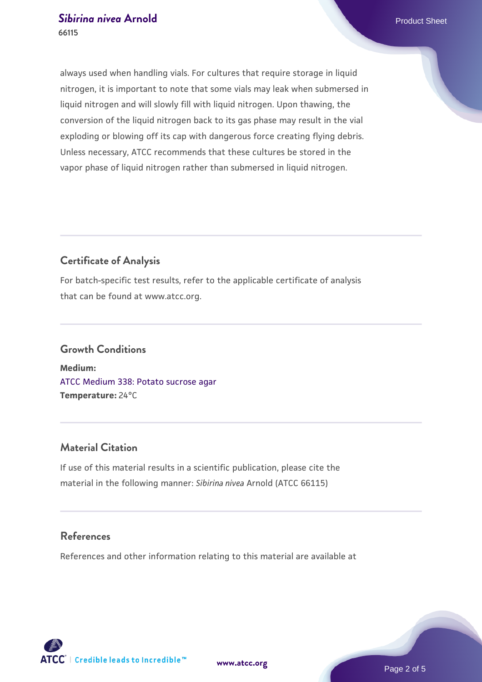always used when handling vials. For cultures that require storage in liquid nitrogen, it is important to note that some vials may leak when submersed in liquid nitrogen and will slowly fill with liquid nitrogen. Upon thawing, the conversion of the liquid nitrogen back to its gas phase may result in the vial exploding or blowing off its cap with dangerous force creating flying debris. Unless necessary, ATCC recommends that these cultures be stored in the vapor phase of liquid nitrogen rather than submersed in liquid nitrogen.

### **Certificate of Analysis**

For batch-specific test results, refer to the applicable certificate of analysis that can be found at www.atcc.org.

## **Growth Conditions**

**Medium:**  [ATCC Medium 338: Potato sucrose agar](https://www.atcc.org/-/media/product-assets/documents/microbial-media-formulations/3/3/8/atcc-medium-338.pdf?rev=46546b6f4a85482b856b30458c18db73) **Temperature:** 24°C

#### **Material Citation**

If use of this material results in a scientific publication, please cite the material in the following manner: *Sibirina nivea* Arnold (ATCC 66115)

#### **References**

References and other information relating to this material are available at





**[www.atcc.org](http://www.atcc.org)**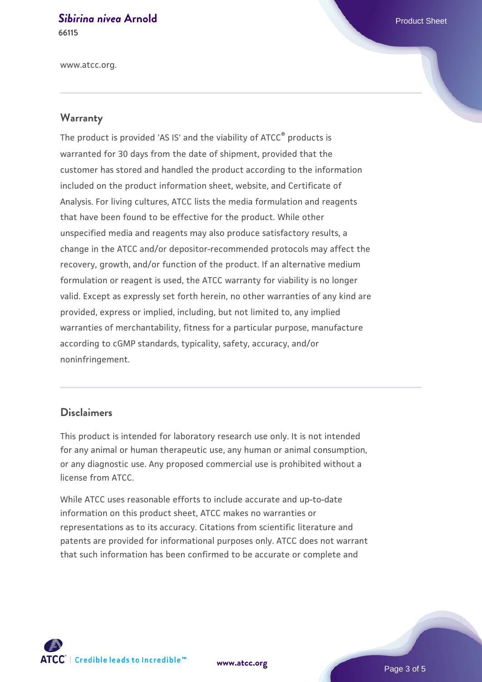#### **[Sibirina nivea](https://www.atcc.org/products/66115) [Arnold](https://www.atcc.org/products/66115)** Product Sheet **66115**

www.atcc.org.

#### **Warranty**

The product is provided 'AS IS' and the viability of ATCC® products is warranted for 30 days from the date of shipment, provided that the customer has stored and handled the product according to the information included on the product information sheet, website, and Certificate of Analysis. For living cultures, ATCC lists the media formulation and reagents that have been found to be effective for the product. While other unspecified media and reagents may also produce satisfactory results, a change in the ATCC and/or depositor-recommended protocols may affect the recovery, growth, and/or function of the product. If an alternative medium formulation or reagent is used, the ATCC warranty for viability is no longer valid. Except as expressly set forth herein, no other warranties of any kind are provided, express or implied, including, but not limited to, any implied warranties of merchantability, fitness for a particular purpose, manufacture according to cGMP standards, typicality, safety, accuracy, and/or noninfringement.

#### **Disclaimers**

This product is intended for laboratory research use only. It is not intended for any animal or human therapeutic use, any human or animal consumption, or any diagnostic use. Any proposed commercial use is prohibited without a license from ATCC.

While ATCC uses reasonable efforts to include accurate and up-to-date information on this product sheet, ATCC makes no warranties or representations as to its accuracy. Citations from scientific literature and patents are provided for informational purposes only. ATCC does not warrant that such information has been confirmed to be accurate or complete and



**[www.atcc.org](http://www.atcc.org)**

Page 3 of 5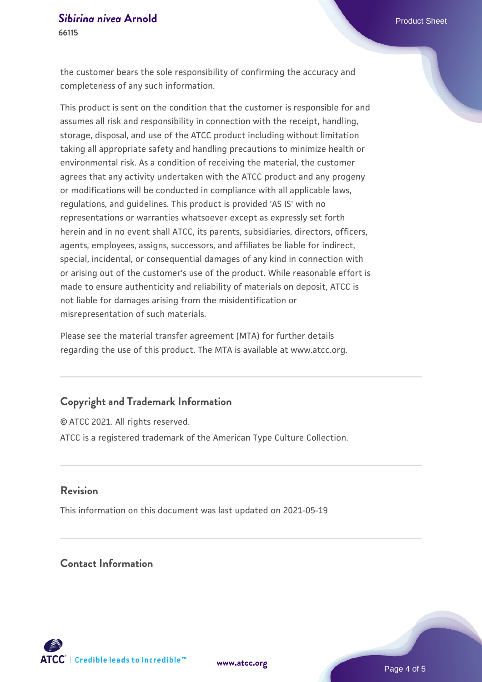the customer bears the sole responsibility of confirming the accuracy and completeness of any such information.

This product is sent on the condition that the customer is responsible for and assumes all risk and responsibility in connection with the receipt, handling, storage, disposal, and use of the ATCC product including without limitation taking all appropriate safety and handling precautions to minimize health or environmental risk. As a condition of receiving the material, the customer agrees that any activity undertaken with the ATCC product and any progeny or modifications will be conducted in compliance with all applicable laws, regulations, and guidelines. This product is provided 'AS IS' with no representations or warranties whatsoever except as expressly set forth herein and in no event shall ATCC, its parents, subsidiaries, directors, officers, agents, employees, assigns, successors, and affiliates be liable for indirect, special, incidental, or consequential damages of any kind in connection with or arising out of the customer's use of the product. While reasonable effort is made to ensure authenticity and reliability of materials on deposit, ATCC is not liable for damages arising from the misidentification or misrepresentation of such materials.

Please see the material transfer agreement (MTA) for further details regarding the use of this product. The MTA is available at www.atcc.org.

#### **Copyright and Trademark Information**

© ATCC 2021. All rights reserved. ATCC is a registered trademark of the American Type Culture Collection.

#### **Revision**

This information on this document was last updated on 2021-05-19

## **Contact Information**



**[www.atcc.org](http://www.atcc.org)**